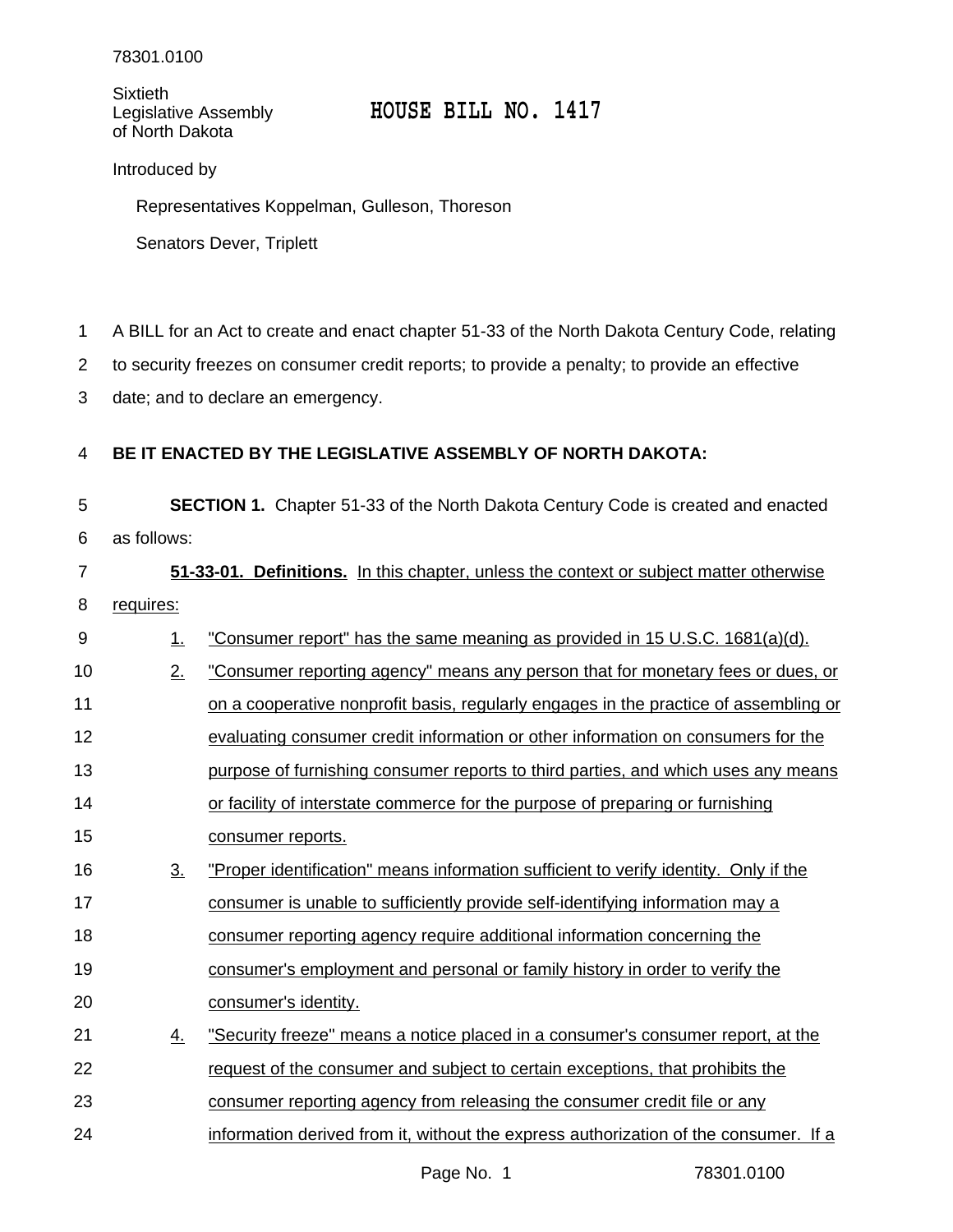Sixtieth<br>Legislative Assembly of North Dakota

## Legislative Assembly **HOUSE BILL NO. 1417**

Introduced by

Representatives Koppelman, Gulleson, Thoreson

Senators Dever, Triplett

A BILL for an Act to create and enact chapter 51-33 of the North Dakota Century Code, relating 1

to security freezes on consumer credit reports; to provide a penalty; to provide an effective 2

date; and to declare an emergency. 3

## **BE IT ENACTED BY THE LEGISLATIVE ASSEMBLY OF NORTH DAKOTA:** 4

**SECTION 1.** Chapter 51-33 of the North Dakota Century Code is created and enacted as follows: 5 6

**51-33-01. Definitions.** In this chapter, unless the context or subject matter otherwise requires: 7 8

| 9  | 1.                | "Consumer report" has the same meaning as provided in 15 U.S.C. 1681(a)(d).          |
|----|-------------------|--------------------------------------------------------------------------------------|
| 10 | 2.                | "Consumer reporting agency" means any person that for monetary fees or dues, or      |
| 11 |                   | on a cooperative nonprofit basis, regularly engages in the practice of assembling or |
| 12 |                   | evaluating consumer credit information or other information on consumers for the     |
| 13 |                   | purpose of furnishing consumer reports to third parties, and which uses any means    |
| 14 |                   | or facility of interstate commerce for the purpose of preparing or furnishing        |
| 15 |                   | consumer reports.                                                                    |
| 16 | $\underline{3}$ . | "Proper identification" means information sufficient to verify identity. Only if the |
| 17 |                   | consumer is unable to sufficiently provide self-identifying information may a        |
| 18 |                   | consumer reporting agency require additional information concerning the              |
| 19 |                   | consumer's employment and personal or family history in order to verify the          |
| 20 |                   | consumer's identity.                                                                 |
| 21 | $\underline{4}$ . | "Security freeze" means a notice placed in a consumer's consumer report, at the      |
| 22 |                   | request of the consumer and subject to certain exceptions, that prohibits the        |
| 23 |                   | consumer reporting agency from releasing the consumer credit file or any             |
| 24 |                   | information derived from it, without the express authorization of the consumer. If a |
|    |                   |                                                                                      |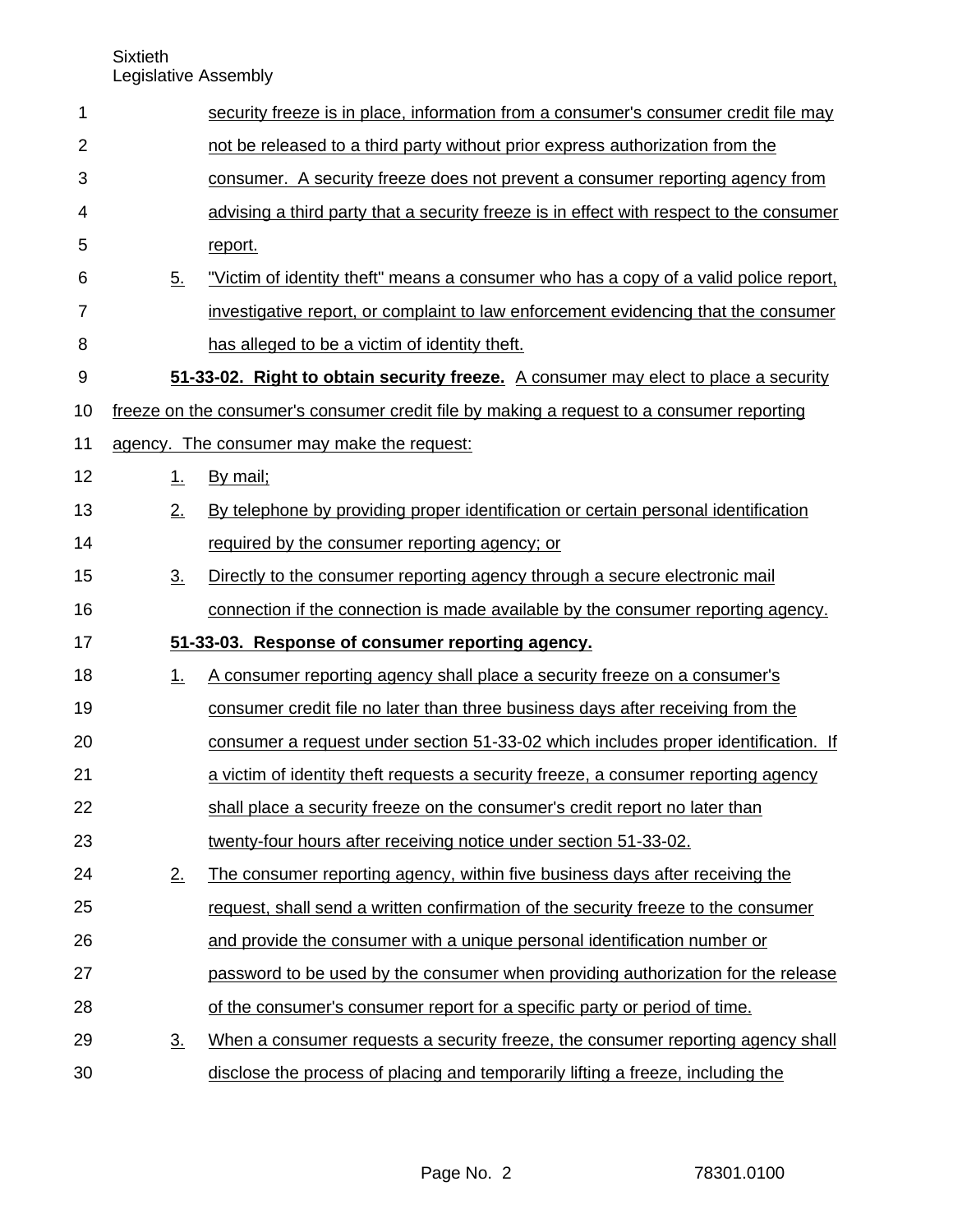| 1              |                                                                                           | security freeze is in place, information from a consumer's consumer credit file may     |  |
|----------------|-------------------------------------------------------------------------------------------|-----------------------------------------------------------------------------------------|--|
| $\overline{2}$ |                                                                                           | not be released to a third party without prior express authorization from the           |  |
| 3              |                                                                                           | consumer. A security freeze does not prevent a consumer reporting agency from           |  |
| 4              |                                                                                           | advising a third party that a security freeze is in effect with respect to the consumer |  |
| 5              |                                                                                           | report.                                                                                 |  |
| 6              | 5.                                                                                        | "Victim of identity theft" means a consumer who has a copy of a valid police report,    |  |
| 7              |                                                                                           | investigative report, or complaint to law enforcement evidencing that the consumer      |  |
| 8              |                                                                                           | has alleged to be a victim of identity theft.                                           |  |
| 9              |                                                                                           | 51-33-02. Right to obtain security freeze. A consumer may elect to place a security     |  |
| 10             | freeze on the consumer's consumer credit file by making a request to a consumer reporting |                                                                                         |  |
| 11             |                                                                                           | agency. The consumer may make the request:                                              |  |
| 12             | 1                                                                                         | By mail;                                                                                |  |
| 13             | 2.                                                                                        | By telephone by providing proper identification or certain personal identification      |  |
| 14             |                                                                                           | required by the consumer reporting agency; or                                           |  |
| 15             | 3 <sub>1</sub>                                                                            | Directly to the consumer reporting agency through a secure electronic mail              |  |
| 16             |                                                                                           | connection if the connection is made available by the consumer reporting agency.        |  |
| 17             |                                                                                           | 51-33-03. Response of consumer reporting agency.                                        |  |
| 18             | 1.                                                                                        | A consumer reporting agency shall place a security freeze on a consumer's               |  |
| 19             |                                                                                           | consumer credit file no later than three business days after receiving from the         |  |
| 20             |                                                                                           | consumer a request under section 51-33-02 which includes proper identification. If      |  |
| 21             |                                                                                           | a victim of identity theft requests a security freeze, a consumer reporting agency      |  |
| 22             |                                                                                           | shall place a security freeze on the consumer's credit report no later than             |  |
| 23             |                                                                                           | twenty-four hours after receiving notice under section 51-33-02.                        |  |
| 24             | 2.                                                                                        | The consumer reporting agency, within five business days after receiving the            |  |
| 25             |                                                                                           | request, shall send a written confirmation of the security freeze to the consumer       |  |
| 26             |                                                                                           | and provide the consumer with a unique personal identification number or                |  |
| 27             |                                                                                           | password to be used by the consumer when providing authorization for the release        |  |
| 28             |                                                                                           | of the consumer's consumer report for a specific party or period of time.               |  |
| 29             | 3 <sub>1</sub>                                                                            | When a consumer requests a security freeze, the consumer reporting agency shall         |  |
| 30             |                                                                                           | disclose the process of placing and temporarily lifting a freeze, including the         |  |
|                |                                                                                           |                                                                                         |  |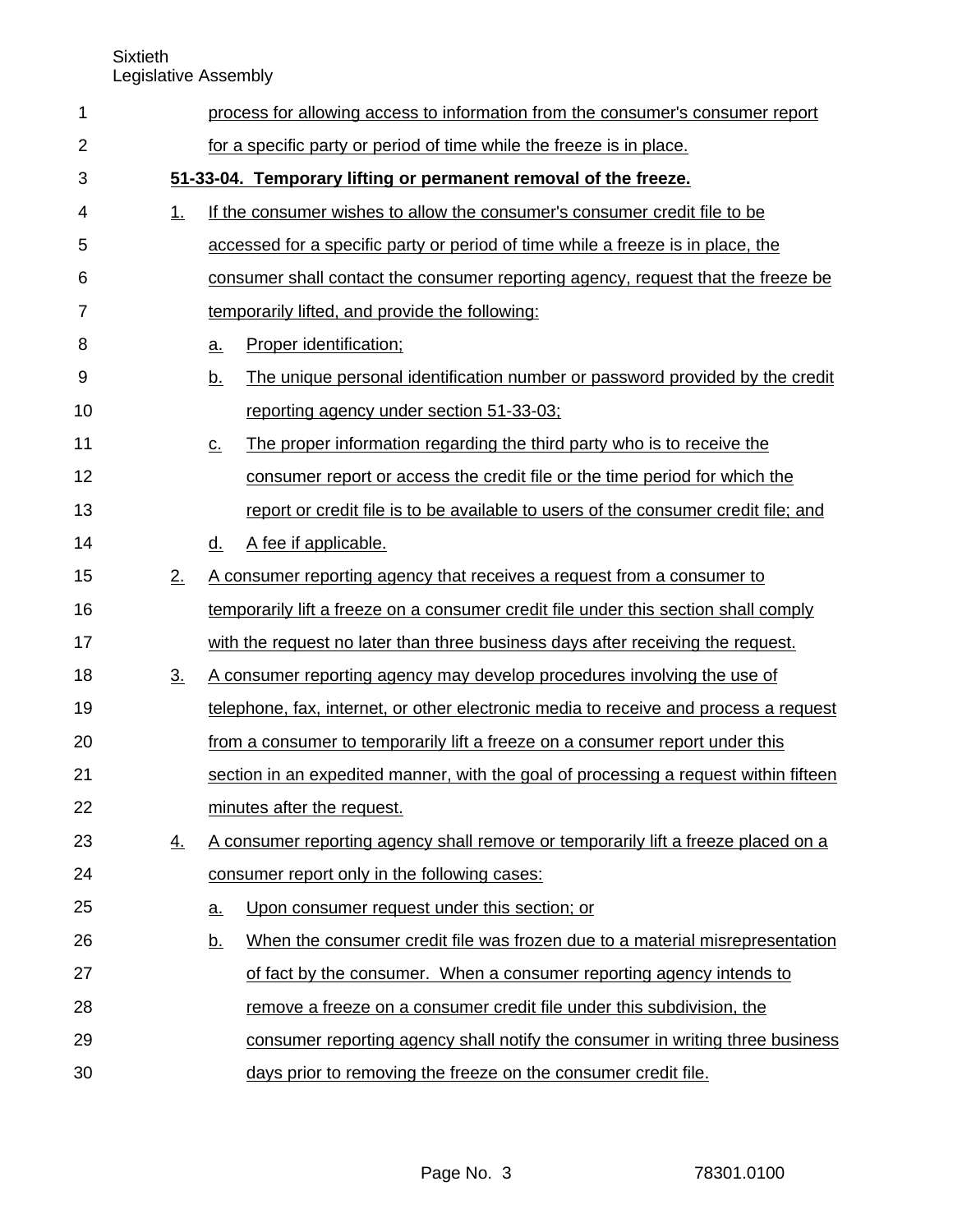| 1              |                   |                   | process for allowing access to information from the consumer's consumer report       |
|----------------|-------------------|-------------------|--------------------------------------------------------------------------------------|
| $\overline{2}$ |                   |                   | for a specific party or period of time while the freeze is in place.                 |
| 3              |                   |                   | 51-33-04. Temporary lifting or permanent removal of the freeze.                      |
| 4              | <u>1.</u>         |                   | If the consumer wishes to allow the consumer's consumer credit file to be            |
| 5              |                   |                   | accessed for a specific party or period of time while a freeze is in place, the      |
| 6              |                   |                   | consumer shall contact the consumer reporting agency, request that the freeze be     |
| 7              |                   |                   | temporarily lifted, and provide the following:                                       |
| 8              |                   | a.                | Proper identification;                                                               |
| 9              |                   | <u>b.</u>         | The unique personal identification number or password provided by the credit         |
| 10             |                   |                   | reporting agency under section 51-33-03;                                             |
| 11             |                   | <u>C.</u>         | The proper information regarding the third party who is to receive the               |
| 12             |                   |                   | consumer report or access the credit file or the time period for which the           |
| 13             |                   |                   | report or credit file is to be available to users of the consumer credit file; and   |
| 14             |                   | d.                | A fee if applicable.                                                                 |
| 15             | 2.                |                   | A consumer reporting agency that receives a request from a consumer to               |
| 16             |                   |                   | temporarily lift a freeze on a consumer credit file under this section shall comply  |
| 17             |                   |                   | with the request no later than three business days after receiving the request.      |
| 18             | $\underline{3}$ . |                   | A consumer reporting agency may develop procedures involving the use of              |
| 19             |                   |                   | telephone, fax, internet, or other electronic media to receive and process a request |
| 20             |                   |                   | from a consumer to temporarily lift a freeze on a consumer report under this         |
| 21             |                   |                   | section in an expedited manner, with the goal of processing a request within fifteen |
| 22             |                   |                   | minutes after the request.                                                           |
| 23             | <u>4.</u>         |                   | A consumer reporting agency shall remove or temporarily lift a freeze placed on a    |
| 24             |                   |                   | consumer report only in the following cases:                                         |
| 25             |                   | $\underline{a}$ . | Upon consumer request under this section; or                                         |
| 26             |                   | <u>b.</u>         | When the consumer credit file was frozen due to a material misrepresentation         |
| 27             |                   |                   | of fact by the consumer. When a consumer reporting agency intends to                 |
| 28             |                   |                   | remove a freeze on a consumer credit file under this subdivision, the                |
| 29             |                   |                   | consumer reporting agency shall notify the consumer in writing three business        |
| 30             |                   |                   | days prior to removing the freeze on the consumer credit file.                       |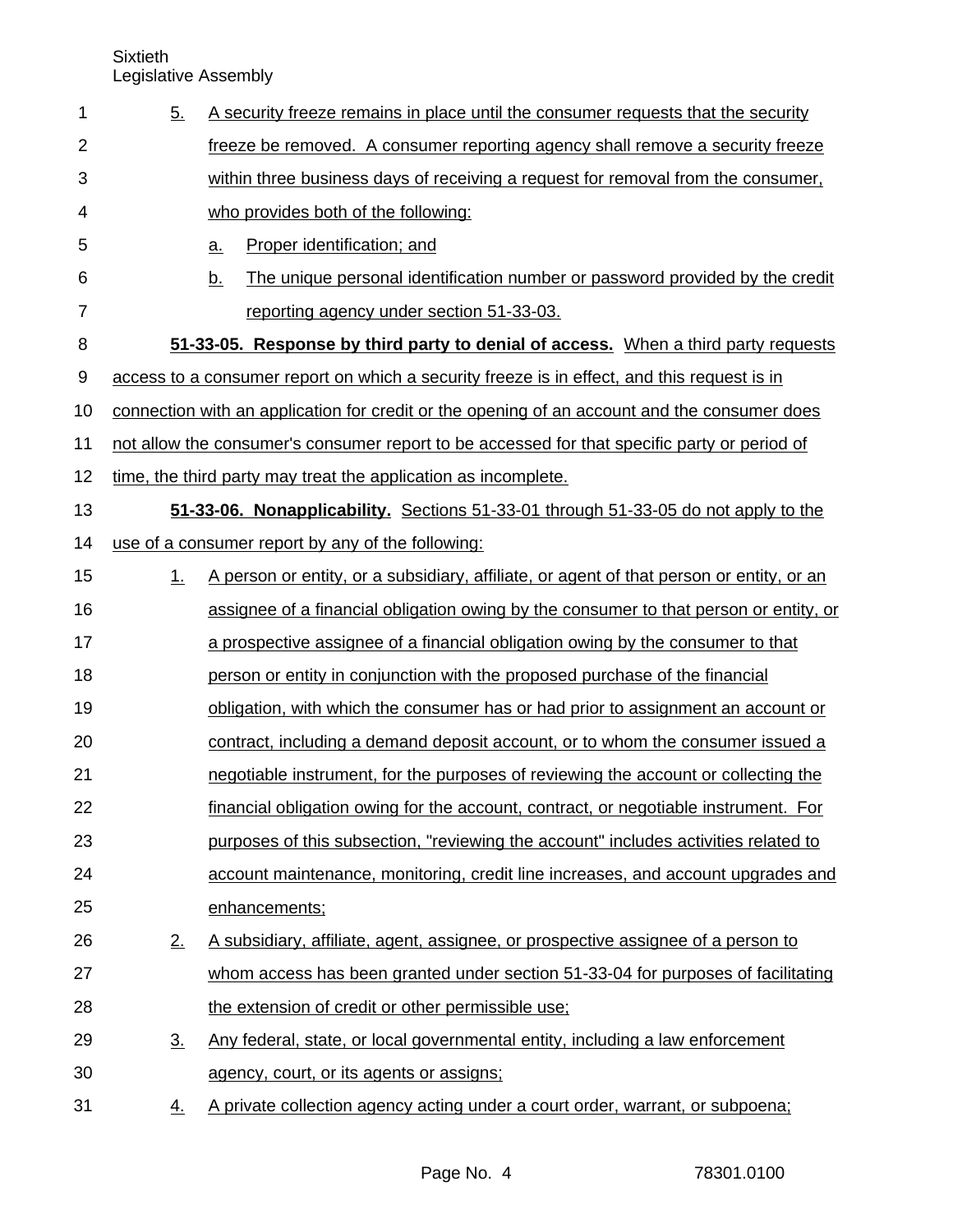| 5.                | A security freeze remains in place until the consumer requests that the security |                                                                                              |  |
|-------------------|----------------------------------------------------------------------------------|----------------------------------------------------------------------------------------------|--|
|                   |                                                                                  | freeze be removed. A consumer reporting agency shall remove a security freeze                |  |
|                   |                                                                                  | within three business days of receiving a request for removal from the consumer,             |  |
|                   |                                                                                  | who provides both of the following:                                                          |  |
|                   | a.                                                                               | Proper identification; and                                                                   |  |
|                   | <u>b.</u>                                                                        | The unique personal identification number or password provided by the credit                 |  |
|                   |                                                                                  | reporting agency under section 51-33-03.                                                     |  |
|                   |                                                                                  | 51-33-05. Response by third party to denial of access. When a third party requests           |  |
|                   |                                                                                  | access to a consumer report on which a security freeze is in effect, and this request is in  |  |
|                   |                                                                                  | connection with an application for credit or the opening of an account and the consumer does |  |
|                   |                                                                                  | not allow the consumer's consumer report to be accessed for that specific party or period of |  |
|                   |                                                                                  | time, the third party may treat the application as incomplete.                               |  |
|                   |                                                                                  | 51-33-06. Nonapplicability. Sections 51-33-01 through 51-33-05 do not apply to the           |  |
|                   |                                                                                  | use of a consumer report by any of the following:                                            |  |
| 1.                |                                                                                  | A person or entity, or a subsidiary, affiliate, or agent of that person or entity, or an     |  |
|                   |                                                                                  | assignee of a financial obligation owing by the consumer to that person or entity, or        |  |
|                   |                                                                                  | a prospective assignee of a financial obligation owing by the consumer to that               |  |
|                   |                                                                                  | person or entity in conjunction with the proposed purchase of the financial                  |  |
|                   |                                                                                  | obligation, with which the consumer has or had prior to assignment an account or             |  |
|                   |                                                                                  | contract, including a demand deposit account, or to whom the consumer issued a               |  |
|                   |                                                                                  | negotiable instrument, for the purposes of reviewing the account or collecting the           |  |
|                   |                                                                                  | financial obligation owing for the account, contract, or negotiable instrument. For          |  |
|                   |                                                                                  | purposes of this subsection, "reviewing the account" includes activities related to          |  |
|                   |                                                                                  | account maintenance, monitoring, credit line increases, and account upgrades and             |  |
|                   |                                                                                  | enhancements;                                                                                |  |
| 2.                |                                                                                  | A subsidiary, affiliate, agent, assignee, or prospective assignee of a person to             |  |
|                   |                                                                                  | whom access has been granted under section 51-33-04 for purposes of facilitating             |  |
|                   |                                                                                  | the extension of credit or other permissible use;                                            |  |
| $\underline{3}$ . |                                                                                  | Any federal, state, or local governmental entity, including a law enforcement                |  |
|                   |                                                                                  | agency, court, or its agents or assigns;                                                     |  |
| $\overline{4}$ .  |                                                                                  | A private collection agency acting under a court order, warrant, or subpoena;                |  |
|                   |                                                                                  |                                                                                              |  |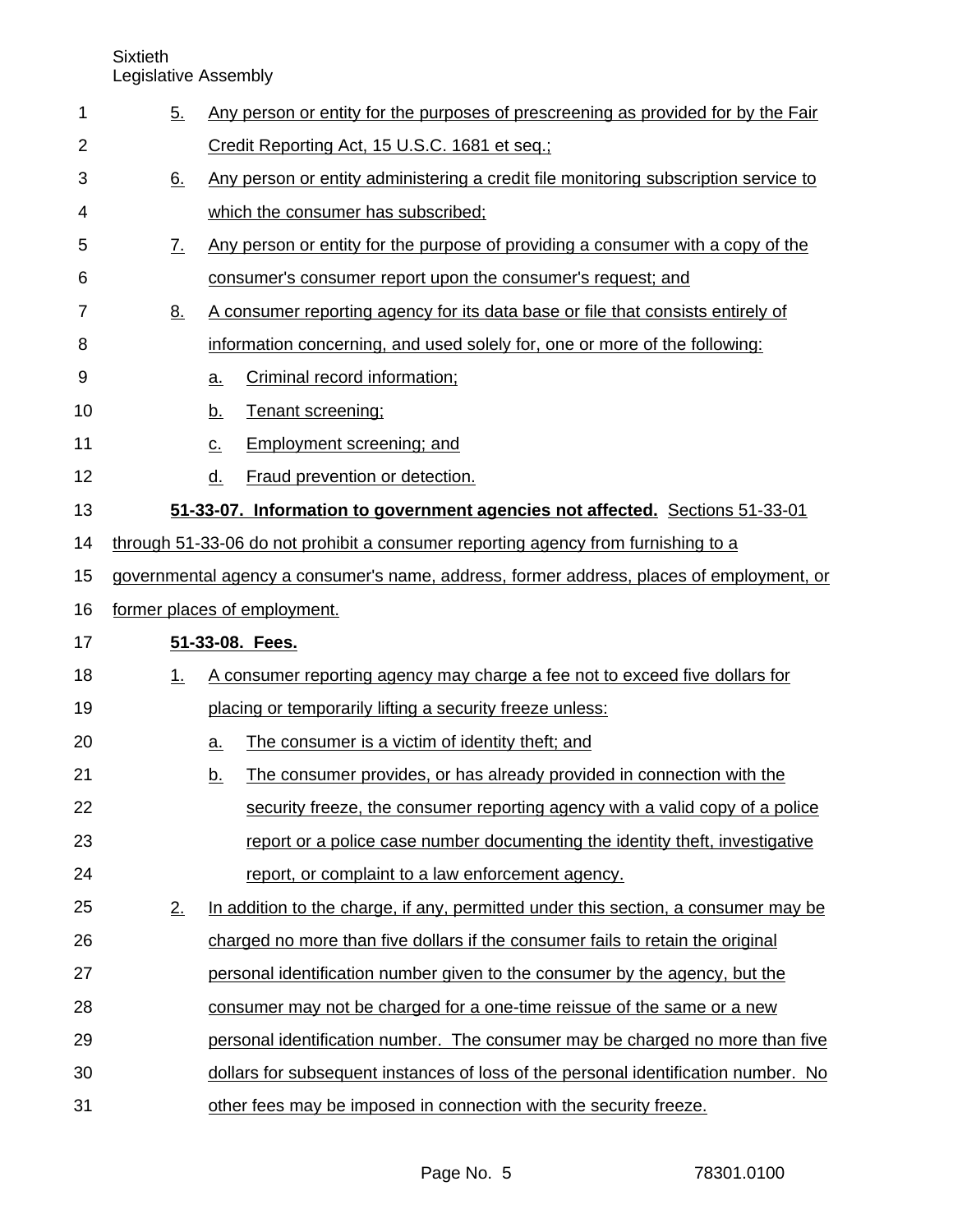Sixtieth

Legislative Assembly

| 1  | 5.                                                                                       | Any person or entity for the purposes of prescreening as provided for by the Fair   |  |  |
|----|------------------------------------------------------------------------------------------|-------------------------------------------------------------------------------------|--|--|
| 2  |                                                                                          | Credit Reporting Act, 15 U.S.C. 1681 et seq.;                                       |  |  |
| 3  | 6.                                                                                       | Any person or entity administering a credit file monitoring subscription service to |  |  |
| 4  |                                                                                          | which the consumer has subscribed;                                                  |  |  |
| 5  | $\underline{7}$ .                                                                        | Any person or entity for the purpose of providing a consumer with a copy of the     |  |  |
| 6  |                                                                                          | consumer's consumer report upon the consumer's request; and                         |  |  |
| 7  | <u>8.</u>                                                                                | A consumer reporting agency for its data base or file that consists entirely of     |  |  |
| 8  |                                                                                          | information concerning, and used solely for, one or more of the following:          |  |  |
| 9  |                                                                                          | Criminal record information;<br>$a_{\cdot}$                                         |  |  |
| 10 |                                                                                          | Tenant screening;<br><u>b.</u>                                                      |  |  |
| 11 |                                                                                          | <b>Employment screening; and</b><br>$\underline{C}$ .                               |  |  |
| 12 |                                                                                          | Fraud prevention or detection.<br><u>d.</u>                                         |  |  |
| 13 |                                                                                          | 51-33-07. Information to government agencies not affected. Sections 51-33-01        |  |  |
| 14 | through 51-33-06 do not prohibit a consumer reporting agency from furnishing to a        |                                                                                     |  |  |
| 15 | governmental agency a consumer's name, address, former address, places of employment, or |                                                                                     |  |  |
| 16 |                                                                                          | former places of employment.                                                        |  |  |
| 17 |                                                                                          | 51-33-08. Fees.                                                                     |  |  |
| 18 | 1.                                                                                       | A consumer reporting agency may charge a fee not to exceed five dollars for         |  |  |
| 19 |                                                                                          | placing or temporarily lifting a security freeze unless:                            |  |  |
| 20 |                                                                                          | The consumer is a victim of identity theft; and<br><u>a.</u>                        |  |  |
| 21 |                                                                                          | The consumer provides, or has already provided in connection with the<br><u>b.</u>  |  |  |
| 22 |                                                                                          | security freeze, the consumer reporting agency with a valid copy of a police        |  |  |
| 23 |                                                                                          | report or a police case number documenting the identity theft, investigative        |  |  |
| 24 |                                                                                          | report, or complaint to a law enforcement agency.                                   |  |  |
| 25 | 2.                                                                                       | In addition to the charge, if any, permitted under this section, a consumer may be  |  |  |
| 26 |                                                                                          | charged no more than five dollars if the consumer fails to retain the original      |  |  |
| 27 |                                                                                          | personal identification number given to the consumer by the agency, but the         |  |  |
| 28 |                                                                                          | consumer may not be charged for a one-time reissue of the same or a new             |  |  |
| 29 |                                                                                          | personal identification number. The consumer may be charged no more than five       |  |  |
| 30 |                                                                                          | dollars for subsequent instances of loss of the personal identification number. No  |  |  |
| 31 |                                                                                          | other fees may be imposed in connection with the security freeze.                   |  |  |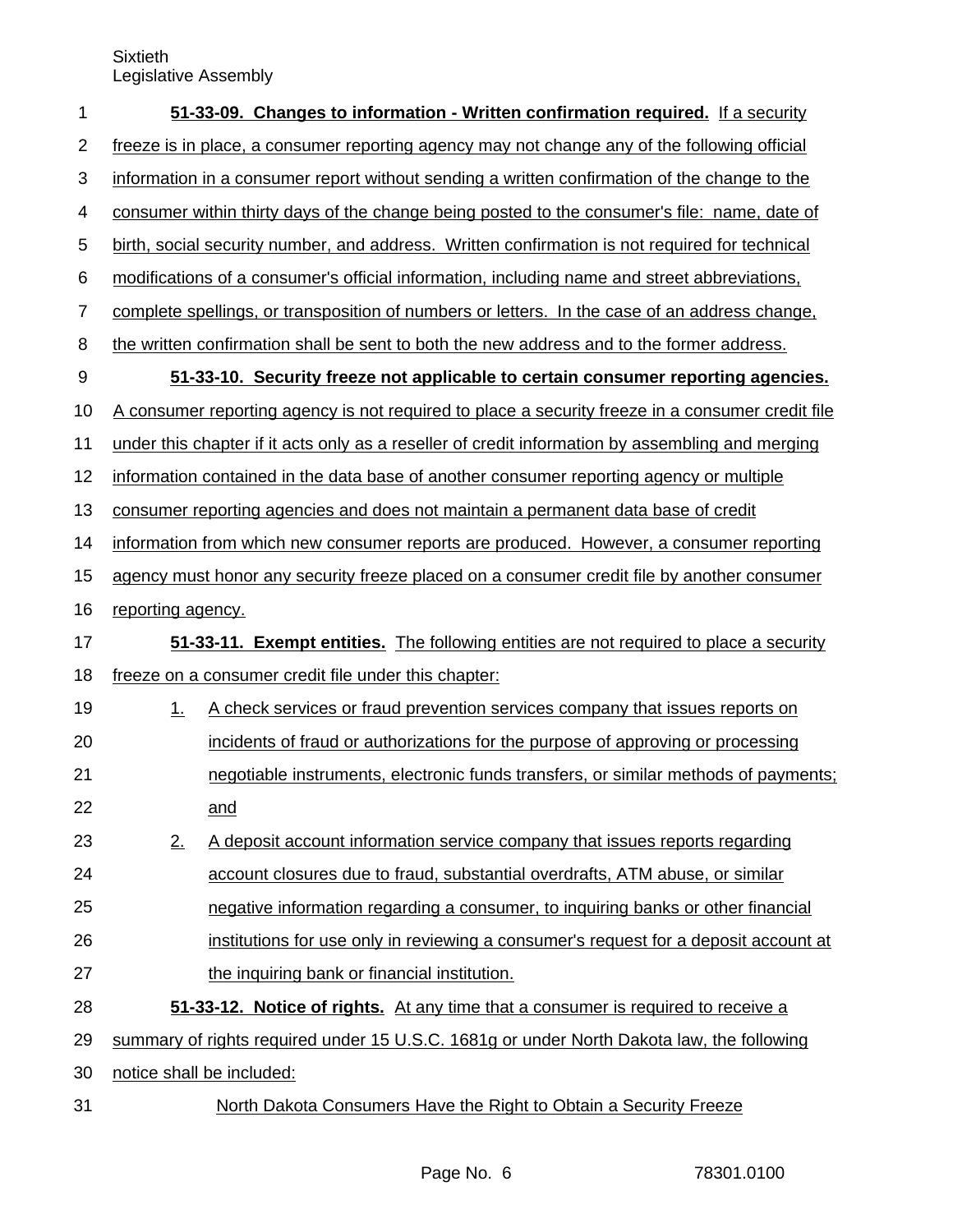| 1              |                                                                                                  | 51-33-09. Changes to information - Written confirmation required. If a security                  |  |
|----------------|--------------------------------------------------------------------------------------------------|--------------------------------------------------------------------------------------------------|--|
| $\overline{2}$ | freeze is in place, a consumer reporting agency may not change any of the following official     |                                                                                                  |  |
| 3              | information in a consumer report without sending a written confirmation of the change to the     |                                                                                                  |  |
| 4              |                                                                                                  | consumer within thirty days of the change being posted to the consumer's file: name, date of     |  |
| 5              |                                                                                                  | birth, social security number, and address. Written confirmation is not required for technical   |  |
| 6              |                                                                                                  | modifications of a consumer's official information, including name and street abbreviations,     |  |
| $\overline{7}$ | complete spellings, or transposition of numbers or letters. In the case of an address change,    |                                                                                                  |  |
| 8              | the written confirmation shall be sent to both the new address and to the former address.        |                                                                                                  |  |
| 9              |                                                                                                  | 51-33-10. Security freeze not applicable to certain consumer reporting agencies.                 |  |
| 10             |                                                                                                  | A consumer reporting agency is not required to place a security freeze in a consumer credit file |  |
| 11             | under this chapter if it acts only as a reseller of credit information by assembling and merging |                                                                                                  |  |
| 12             | information contained in the data base of another consumer reporting agency or multiple          |                                                                                                  |  |
| 13             | consumer reporting agencies and does not maintain a permanent data base of credit                |                                                                                                  |  |
| 14             | information from which new consumer reports are produced. However, a consumer reporting          |                                                                                                  |  |
| 15             | agency must honor any security freeze placed on a consumer credit file by another consumer       |                                                                                                  |  |
| 16             | reporting agency.                                                                                |                                                                                                  |  |
| 17             | 51-33-11. Exempt entities. The following entities are not required to place a security           |                                                                                                  |  |
| 18             | freeze on a consumer credit file under this chapter:                                             |                                                                                                  |  |
| 19             | 1.                                                                                               | A check services or fraud prevention services company that issues reports on                     |  |
| 20             |                                                                                                  | incidents of fraud or authorizations for the purpose of approving or processing                  |  |
| 21             |                                                                                                  | negotiable instruments, electronic funds transfers, or similar methods of payments;              |  |
| 22             |                                                                                                  | and                                                                                              |  |
| 23             | 2.                                                                                               | A deposit account information service company that issues reports regarding                      |  |
| 24             |                                                                                                  | account closures due to fraud, substantial overdrafts, ATM abuse, or similar                     |  |
| 25             |                                                                                                  | negative information regarding a consumer, to inquiring banks or other financial                 |  |
| 26             |                                                                                                  | institutions for use only in reviewing a consumer's request for a deposit account at             |  |
| 27             |                                                                                                  | the inquiring bank or financial institution.                                                     |  |
| 28             |                                                                                                  | 51-33-12. Notice of rights. At any time that a consumer is required to receive a                 |  |
| 29             |                                                                                                  | summary of rights required under 15 U.S.C. 1681g or under North Dakota law, the following        |  |
| 30             |                                                                                                  | notice shall be included:                                                                        |  |
| 31             |                                                                                                  | North Dakota Consumers Have the Right to Obtain a Security Freeze                                |  |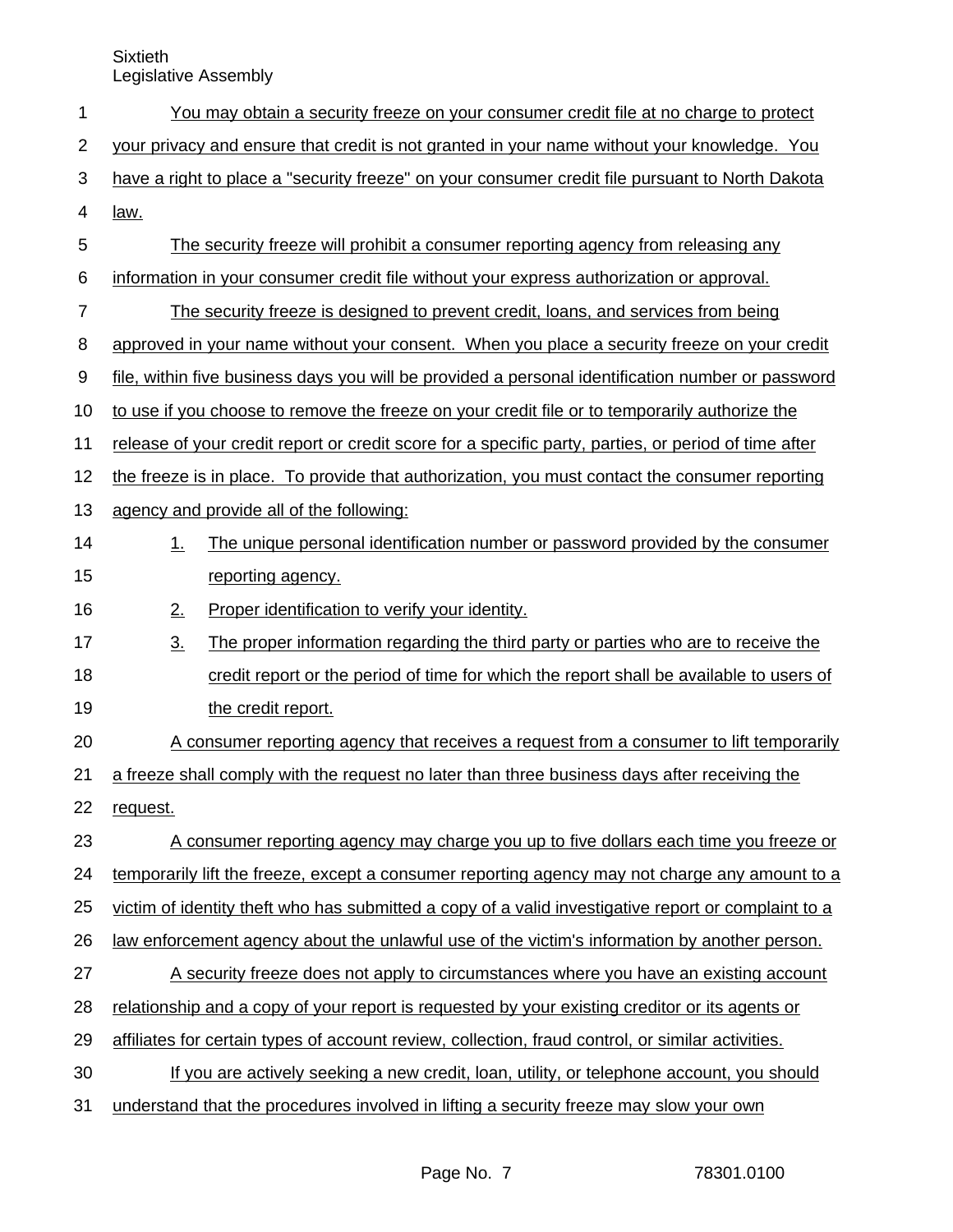| 1              |                                                                                                      | You may obtain a security freeze on your consumer credit file at no charge to protect               |  |
|----------------|------------------------------------------------------------------------------------------------------|-----------------------------------------------------------------------------------------------------|--|
| $\overline{2}$ | your privacy and ensure that credit is not granted in your name without your knowledge. You          |                                                                                                     |  |
| 3              | have a right to place a "security freeze" on your consumer credit file pursuant to North Dakota      |                                                                                                     |  |
| 4              | law.                                                                                                 |                                                                                                     |  |
| 5              |                                                                                                      | The security freeze will prohibit a consumer reporting agency from releasing any                    |  |
| 6              |                                                                                                      | information in your consumer credit file without your express authorization or approval.            |  |
| $\overline{7}$ | The security freeze is designed to prevent credit, loans, and services from being                    |                                                                                                     |  |
| 8              | approved in your name without your consent. When you place a security freeze on your credit          |                                                                                                     |  |
| 9              | file, within five business days you will be provided a personal identification number or password    |                                                                                                     |  |
| 10             | to use if you choose to remove the freeze on your credit file or to temporarily authorize the        |                                                                                                     |  |
| 11             | release of your credit report or credit score for a specific party, parties, or period of time after |                                                                                                     |  |
| 12             | the freeze is in place. To provide that authorization, you must contact the consumer reporting       |                                                                                                     |  |
| 13             |                                                                                                      | agency and provide all of the following:                                                            |  |
| 14             | $1_{-}$                                                                                              | The unique personal identification number or password provided by the consumer                      |  |
| 15             |                                                                                                      | reporting agency.                                                                                   |  |
| 16             | 2.                                                                                                   | Proper identification to verify your identity.                                                      |  |
| 17             | $\underline{3}$ .                                                                                    | The proper information regarding the third party or parties who are to receive the                  |  |
| 18             |                                                                                                      | credit report or the period of time for which the report shall be available to users of             |  |
| 19             |                                                                                                      | the credit report.                                                                                  |  |
| 20             |                                                                                                      | A consumer reporting agency that receives a request from a consumer to lift temporarily             |  |
| 21             | a freeze shall comply with the request no later than three business days after receiving the         |                                                                                                     |  |
| 22             | request.                                                                                             |                                                                                                     |  |
| 23             | A consumer reporting agency may charge you up to five dollars each time you freeze or                |                                                                                                     |  |
| 24             |                                                                                                      | temporarily lift the freeze, except a consumer reporting agency may not charge any amount to a      |  |
| 25             |                                                                                                      | victim of identity theft who has submitted a copy of a valid investigative report or complaint to a |  |
| 26             | law enforcement agency about the unlawful use of the victim's information by another person.         |                                                                                                     |  |
| 27             |                                                                                                      | A security freeze does not apply to circumstances where you have an existing account                |  |
| 28             | relationship and a copy of your report is requested by your existing creditor or its agents or       |                                                                                                     |  |
| 29             | affiliates for certain types of account review, collection, fraud control, or similar activities.    |                                                                                                     |  |
| 30             |                                                                                                      | If you are actively seeking a new credit, loan, utility, or telephone account, you should           |  |
| 31             |                                                                                                      | understand that the procedures involved in lifting a security freeze may slow your own              |  |